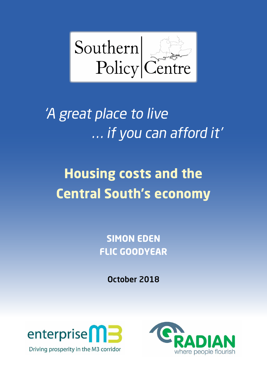

# 'A great place to live . . . if you can afford it'

# **Housing costs and the Central South's economy**

**SIMON EDEN FLIC GOODYEAR**

October 2018



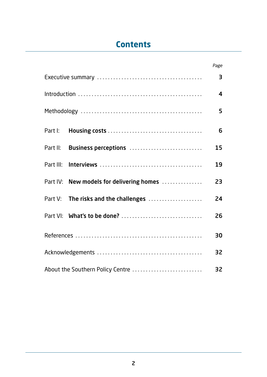# **Contents**

|  |                                          | Page             |  |  |  |
|--|------------------------------------------|------------------|--|--|--|
|  |                                          | 3                |  |  |  |
|  |                                          | $\boldsymbol{4}$ |  |  |  |
|  |                                          | 5                |  |  |  |
|  |                                          | 6                |  |  |  |
|  | Part II: Business perceptions            | 15               |  |  |  |
|  |                                          | 19               |  |  |  |
|  | Part IV: New models for delivering homes | 23               |  |  |  |
|  | Part V: The risks and the challenges     | 24               |  |  |  |
|  | Part VI: What's to be done?              | 26               |  |  |  |
|  |                                          | 30               |  |  |  |
|  |                                          |                  |  |  |  |
|  | About the Southern Policy Centre         | 32               |  |  |  |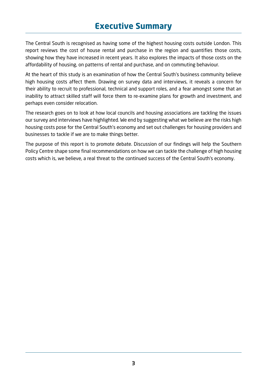# **Executive Summary**

The Central South is recognised as having some of the highest housing costs outside London. This report reviews the cost of house rental and purchase in the region and quantifies those costs, showing how they have increased in recent years. It also explores the impacts of those costs on the affordability of housing, on patterns of rental and purchase, and on commuting behaviour.

At the heart of this study is an examination of how the Central South's business community believe high housing costs affect them. Drawing on survey data and interviews, it reveals a concern for their ability to recruit to professional, technical and support roles, and a fear amongst some that an inability to attract skilled staff will force them to re-examine plans for growth and investment, and perhaps even consider relocation.

The research goes on to look at how local councils and housing associations are tackling the issues our survey and interviews have highlighted. We end by suggesting what we believe are the risks high housing costs pose for the Central South's economy and set out challenges for housing providers and businesses to tackle if we are to make things better.

The purpose of this report is to promote debate. Discussion of our findings will help the Southern Policy Centre shape some final recommendations on how we can tackle the challenge of high housing costs which is, we believe, a real threat to the continued success of the Central South's economy.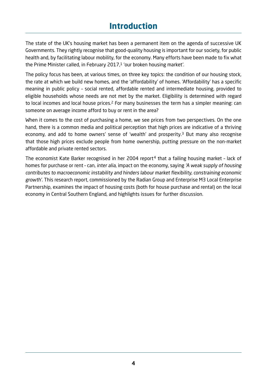# **Introduction**

The state of the UK's housing market has been a permanent item on the agenda of successive UK Governments. They rightly recognise that good-quality housing is important for our society, for public health and, by facilitating labour mobility, for the economy. Many efforts have been made to fix what the Prime Minister called, in February 2017, $1$  'our broken housing market'.

The policy focus has been, at various times, on three key topics: the condition of our housing stock, the rate at which we build new homes, and the 'affordability' of homes. 'Affordability' has a specific meaning in public policy – social rented, affordable rented and intermediate housing, provided to eligible households whose needs are not met by the market. Eligibility is determined with regard to local incomes and local house prices.<sup>2</sup> For many businesses the term has a simpler meaning: can someone on average income afford to buy or rent in the area?

When it comes to the cost of purchasing a home, we see prices from two perspectives. On the one hand, there is a common media and political perception that high prices are indicative of a thriving economy, and add to home owners' sense of 'wealth' and prosperity.3 But many also recognise that those high prices exclude people from home ownership, putting pressure on the non-market affordable and private rented sectors.

The economist Kate Barker recognised in her 2004 report<sup>4</sup> that a failing housing market - lack of homes for purchase or rent – can, inter alia, impact on the economy, saying 'A weak supply of housing contributes to macroeconomic instability and hinders labour market flexibility, constraining economic growth'. This research report, commissioned by the Radian Group and Enterprise M3 Local Enterprise Partnership, examines the impact of housing costs (both for house purchase and rental) on the local economy in Central Southern England, and highlights issues for further discussion.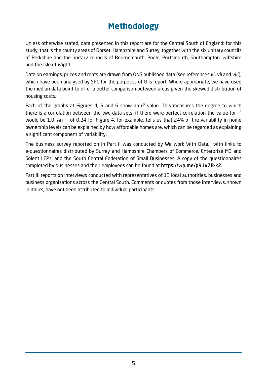# **Methodology**

Unless otherwise stated, data presented in this report are for the Central South of England: for this study, that is the county areas of Dorset, Hampshire and Surrey, together with the six unitary councils of Berkshire and the unitary councils of Bournemouth, Poole, Portsmouth, Southampton, Wiltshire and the Isle of Wight.

Data on earnings, prices and rents are drawn from ONS published data (see references vi, vii and viii), which have been analysed by SPC for the purposes of this report. Where appropriate, we have used the median data point to offer a better comparison between areas given the skewed distribution of housing costs.

Each of the graphs at Figures 4, 5 and 6 show an  $r^2$  value. This measures the degree to which there is a correlation between the two data sets: if there were perfect correlation the value for  $r^2$ would be 1.0. An r<sup>2</sup> of 0.24 for Figure 4, for example, tells us that 24% of the variability in home ownership levels can be explained by how affordable homes are, which can be regarded as explaining a significant component of variability.

The business survey reported on in Part II was conducted by We Work With Data,5 with links to e-questionnaires distributed by Surrey and Hampshire Chambers of Commerce, Enterprise M3 and Solent LEPs, and the South Central Federation of Small Businesses. A copy of the questionnaires completed by businesses and their employees can be found at https://wp.me/p91v7B-k2.

Part III reports on interviews conducted with representatives of 13 local authorities, businesses and business organisations across the Central South. Comments or quotes from those interviews, shown in italics, have not been attributed to individual participants.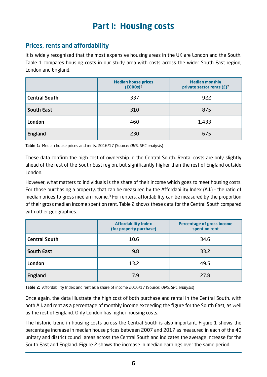# Prices, rents and affordability

It is widely recognised that the most expensive housing areas in the UK are London and the South. Table 1 compares housing costs in our study area with costs across the wider South East region, London and England.

|                      | <b>Median house prices</b><br>$(£000s)$ <sup>6</sup> | <b>Median monthly</b><br>private sector rents $(E)^7$ |  |  |
|----------------------|------------------------------------------------------|-------------------------------------------------------|--|--|
| <b>Central South</b> | 337                                                  | 922                                                   |  |  |
| <b>South East</b>    | 310                                                  | 875                                                   |  |  |
| <b>London</b>        | 460                                                  | 1,433                                                 |  |  |
| England              | 230                                                  | 675                                                   |  |  |

Table 1: Median house prices and rents, 2016/17 (Source: ONS, SPC analysis)

These data confirm the high cost of ownership in the Central South. Rental costs are only slightly ahead of the rest of the South East region, but significantly higher than the rest of England outside London.

However, what matters to individuals is the share of their income which goes to meet housing costs. For those purchasing a property, that can be measured by the Affordability Index (A.I.) – the ratio of median prices to gross median income. $8$  For renters, affordability can be measured by the proportion of their gross median income spent on rent. Table 2 shows these data for the Central South compared with other geographies.

|                      | <b>Affordability Index</b><br>(for property purchase) | <b>Percentage of gross income</b><br>spent on rent |
|----------------------|-------------------------------------------------------|----------------------------------------------------|
| <b>Central South</b> | 10.6                                                  | 34.6                                               |
| <b>South East</b>    | 9.8                                                   | 33.2                                               |
| <b>London</b>        | 13.2                                                  | 49.5                                               |
| England              | 7.9                                                   | 27.8                                               |

Table 2: Affordability Index and rent as a share of income 2016/17 (Source: ONS, SPC analysis)

Once again, the data illustrate the high cost of both purchase and rental in the Central South, with both A.I. and rent as a percentage of monthly income exceeding the figure for the South East, as well as the rest of England. Only London has higher housing costs.

The historic trend in housing costs across the Central South is also important. Figure 1 shows the percentage increase in median house prices between 2007 and 2017 as measured in each of the 40 unitary and district council areas across the Central South and indicates the average increase for the South East and England. Figure 2 shows the increase in median earnings over the same period.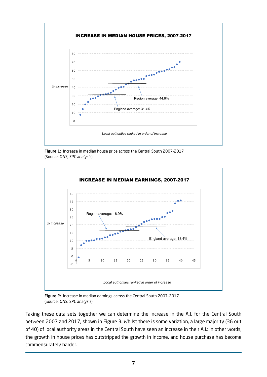

Figure 1: Increase in median house price across the Central South 2007-2017 (Source: ONS, SPC analysis)



Figure 2: Increase in median earnings across the Central South 2007–2017 (Source: ONS, SPC analysis)

Taking these data sets together we can determine the increase in the A.I. for the Central South between 2007 and 2017, shown in Figure 3. Whilst there is some variation, a large majority (36 out of 40) of local authority areas in the Central South have seen an increase in their A.I.: in other words, the growth in house prices has outstripped the growth in income, and house purchase has become commensurately harder.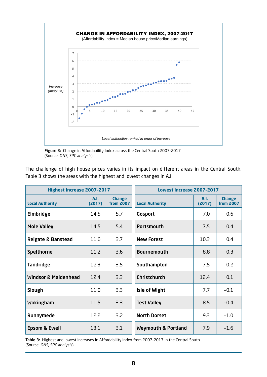

Figure 3: Change in Affordability Index across the Central South 2007-2017 (Source: ONS, SPC analysis)

| The challenge of high house prices varies in its impact on different areas in the Central South. |  |  |  |  |  |  |  |
|--------------------------------------------------------------------------------------------------|--|--|--|--|--|--|--|
| Table 3 shows the areas with the highest and lowest changes in A.I.                              |  |  |  |  |  |  |  |

| <b>Highest Increase 2007-2017</b> |                |                                   | Lowest Increase 2007-2017      |                |                                   |  |
|-----------------------------------|----------------|-----------------------------------|--------------------------------|----------------|-----------------------------------|--|
| <b>Local Authority</b>            | A.I.<br>(2017) | <b>Change</b><br><b>from 2007</b> | <b>Local Authority</b>         | A.I.<br>(2017) | <b>Change</b><br><b>from 2007</b> |  |
| Elmbridge                         | 14.5           | 5.7                               | <b>Gosport</b>                 | 7.0            | 0.6                               |  |
| <b>Mole Valley</b>                | 14.5           | 5.4                               | <b>Portsmouth</b>              | 7.5            | 0.4                               |  |
| <b>Reigate &amp; Banstead</b>     | 11.6           | 3.7                               | <b>New Forest</b>              | 10.3           | 0.4                               |  |
| <b>Spelthorne</b>                 | 11.2           | 3.6                               | <b>Bournemouth</b>             | 8.8            | 0.3                               |  |
| <b>Tandridge</b>                  | 12.3           | 3.5                               | Southampton                    | 7.5            | 0.2                               |  |
| <b>Windsor &amp; Maidenhead</b>   | 12.4           | 3.3                               | <b>Christchurch</b>            | 12.4           | 0.1                               |  |
| Slough                            | 11.0           | 3.3                               | <b>Isle of Wight</b>           | 7.7            | $-0.1$                            |  |
| Wokingham                         | 11.5           | 3.3                               | <b>Test Valley</b>             | 8.5            | $-0.4$                            |  |
| Runnymede                         | 12.2           | 3.2                               | <b>North Dorset</b>            | 9.3            | $-1.0$                            |  |
| <b>Epsom &amp; Ewell</b>          | 13.1           | 3.1                               | <b>Weymouth &amp; Portland</b> | 7.9            | $-1.6$                            |  |

Table 3: Highest and lowest increases in Affordability Index from 2007–2017 in the Central South (Source: ONS, SPC analysis)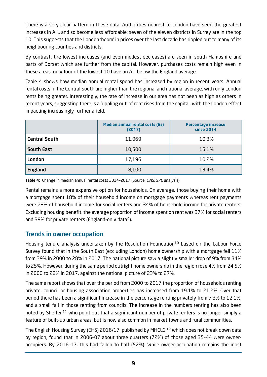There is a very clear pattern in these data. Authorities nearest to London have seen the greatest increases in A.I., and so become less affordable: seven of the eleven districts in Surrey are in the top 10. This suggests that the London 'boom' in prices over the last decade has rippled out to many of its neighbouring counties and districts.

By contrast, the lowest increases (and even modest decreases) are seen in south Hampshire and parts of Dorset which are further from the capital. However, purchases costs remain high even in these areas: only four of the lowest 10 have an A.I. below the England average.

Table 4 shows how median annual rental spend has increased by region in recent years. Annual rental costs in the Central South are higher than the regional and national average, with only London rents being greater. Interestingly, the rate of increase in our area has not been as high as others in recent years, suggesting there is a 'rippling out' of rent rises from the capital, with the London effect impacting increasingly further afield.

|                      | <b>Median annual rental costs (Es)</b><br>(2017) | <b>Percentage increase</b><br>since 2014 |
|----------------------|--------------------------------------------------|------------------------------------------|
| <b>Central South</b> | 11,069                                           | 10.3%                                    |
| <b>South East</b>    | 10,500                                           | 15.1%                                    |
| London               | 17,196                                           | 10.2%                                    |
| England              | 8,100                                            | 13.4%                                    |

Table 4: Change in median annual rental costs 2014–2017 (Source: ONS, SPC analysis)

Rental remains a more expensive option for households. On average, those buying their home with a mortgage spent 18% of their household income on mortgage payments whereas rent payments were 28% of household income for social renters and 34% of household income for private renters. Excluding housing benefit, the average proportion of income spent on rent was 37% for social renters and 39% for private renters (England-only data<sup>9</sup>).

## Trends in owner occupation

Housing tenure analysis undertaken by the Resolution Foundation<sup>10</sup> based on the Labour Force Survey found that in the South East (excluding London) home ownership with a mortgage fell 11% from 39% in 2000 to 28% in 2017. The national picture saw a slightly smaller drop of 9% from 34% to 25%. However, during the same period outright home ownership in the region rose 4% from 24.5% in 2000 to 28% in 2017, against the national picture of 23% to 27%.

The same report shows that over the period from 2000 to 2017 the proportion of households renting private, council or housing association properties has increased from 19.1% to 21.2%. Over that period there has been a significant increase in the percentage renting privately from 7.3% to 12.1%, and a small fall in those renting from councils. The increase in the numbers renting has also been noted by Shelter, $11$  who point out that a significant number of private renters is no longer simply a feature of built-up urban areas, but is now also common in market towns and rural communities.

The English Housing Survey (EHS) 2016/17, published by MHCLG,<sup>12</sup> which does not break down data by region, found that in 2006–07 about three quarters (72%) of those aged 35–44 were owneroccupiers. By 2016–17, this had fallen to half (52%). While owner-occupation remains the most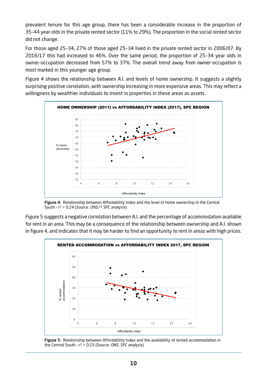prevalent tenure for this age group, there has been a considerable increase in the proportion of 35–44 year olds in the private rented sector (11% to 29%). The proportion in the social rented sector did not change.

For those aged 25–34, 27% of those aged 25–34 lived in the private rented sector in 2006/07. By 2016/17 this had increased to 46%. Over the same period, the proportion of 25–34 year olds in owner-occupation decreased from 57% to 37%. The overall trend away from owner-occupation is most marked in this younger age group.

Figure 4 shows the relationship between A.I. and levels of home ownership. It suggests a slightly surprising positive correlation, with ownership increasing in more expensive areas. This may reflect a willingness by wealthier individuals to invest in properties in these areas as assets.



Figure 4: Relationship between Affordability Index and the level of home ownership in the Central South -  $r^2$  = 0.24 (Source: ONS,<sup>13</sup> SPC analysis)

Figure 5 suggests a negative correlation between A.I. and the percentage of accommodation available for rent in an area. This may be a consequence of the relationship between ownership and A.I. shown in figure 4, and indicates that it may be harder to find an opportunity to rent in areas with high prices.



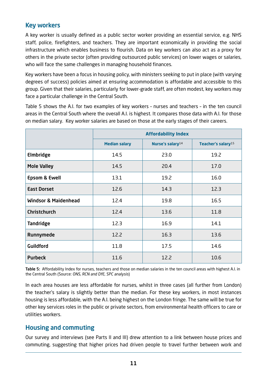## Key workers

A key worker is usually defined as a public sector worker providing an essential service, e.g. NHS staff, police, firefighters, and teachers. They are important economically in providing the social infrastructure which enables business to flourish. Data on key workers can also act as a proxy for others in the private sector (often providing outsourced public services) on lower wages or salaries, who will face the same challenges in managing household finances.

Key workers have been a focus in housing policy, with ministers seeking to put in place (with varying degrees of success) policies aimed at ensuring accommodation is affordable and accessible to this group. Given that their salaries, particularly for lower-grade staff, are often modest, key workers may face a particular challenge in the Central South.

Table 5 shows the A.I. for two examples of key workers – nurses and teachers – in the ten council areas in the Central South where the overall A.I. is highest. It compares those data with A.I. for those on median salary. Key worker salaries are based on those at the early stages of their careers.

|                                 | <b>Affordability Index</b> |                              |                                |  |  |  |  |
|---------------------------------|----------------------------|------------------------------|--------------------------------|--|--|--|--|
|                                 | <b>Median salary</b>       | Nurse's salary <sup>14</sup> | Teacher's salary <sup>15</sup> |  |  |  |  |
| <b>Elmbridge</b>                | 14.5                       | 23.0                         | 19.2                           |  |  |  |  |
| <b>Mole Valley</b>              | 14.5                       | 20.4                         | 17.0                           |  |  |  |  |
| <b>Epsom &amp; Ewell</b>        | 13.1                       | 19.2                         | 16.0                           |  |  |  |  |
| <b>East Dorset</b>              | 12.6                       | 14.3                         | 12.3                           |  |  |  |  |
| <b>Windsor &amp; Maidenhead</b> | 12.4                       | 19.8                         | 16.5                           |  |  |  |  |
| <b>Christchurch</b>             | 12.4                       | 13.6                         | 11.8                           |  |  |  |  |
| <b>Tandridge</b>                | 12.3                       | 16.9                         | 14.1                           |  |  |  |  |
| Runnymede                       | 12.2                       | 16.3                         | 13.6                           |  |  |  |  |
| <b>Guildford</b>                | 11.8                       | 17.5                         | 14.6                           |  |  |  |  |
| <b>Purbeck</b>                  | 11.6                       | 12.2                         | 10.6                           |  |  |  |  |

Table 5: Affordability Index for nurses, teachers and those on median salaries in the ten council areas with highest A.I. in the Central South (Source: ONS, RCN and DfE, SPC analysis)

In each area houses are less affordable for nurses, whilst in three cases (all further from London) the teacher's salary is slightly better than the median. For these key workers, in most instances housing is less affordable, with the A.I. being highest on the London fringe. The same will be true for other key services roles in the public or private sectors, from environmental health officers to care or utilities workers.

## Housing and commuting

Our survey and interviews (see Parts II and III) drew attention to a link between house prices and commuting, suggesting that higher prices had driven people to travel further between work and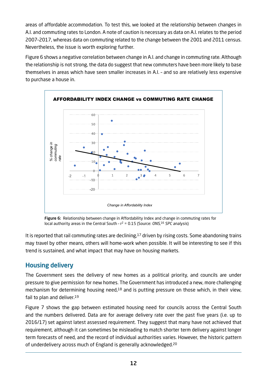areas of affordable accommodation. To test this, we looked at the relationship between changes in A.I. and commuting rates to London. A note of caution is necessary as data on A.I. relates to the period 2007–2017, whereas data on commuting related to the change between the 2001 and 2011 census. Nevertheless, the issue is worth exploring further.

Figure 6 shows a negative correlation between change in A.I. and change in commuting rate. Although the relationship is not strong, the data do suggest that new commuters have been more likely to base themselves in areas which have seen smaller increases in A.I. – and so are relatively less expensive to purchase a house in.



Figure 6: Relationship between change in Affordability Index and change in commuting rates for local authority areas in the Central South -  $r^2$  = 0.15 (Source: ONS,<sup>16</sup> SPC analysis)

It is reported that rail commuting rates are declining,<sup>17</sup> driven by rising costs. Some abandoning trains may travel by other means, others will home-work when possible. It will be interesting to see if this trend is sustained, and what impact that may have on housing markets.

# Housing delivery

The Government sees the delivery of new homes as a political priority, and councils are under pressure to give permission for new homes. The Government has introduced a new, more challenging mechanism for determining housing need, $18$  and is putting pressure on those which, in their view, fail to plan and deliver.<sup>19</sup>

Figure 7 shows the gap between estimated housing need for councils across the Central South and the numbers delivered. Data are for average delivery rate over the past five years (i.e. up to 2016/17) set against latest assessed requirement. They suggest that many have not achieved that requirement, although it can sometimes be misleading to match shorter term delivery against longer term forecasts of need, and the record of individual authorities varies. However, the historic pattern of underdelivery across much of England is generally acknowledged.20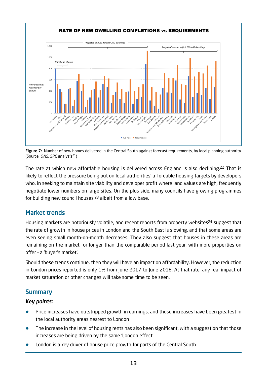

Figure 7: Number of new homes delivered in the Central South against forecast requirements, by local planning authority (Source: ONS, SPC analysis21)

The rate at which new affordable housing is delivered across England is also declining.22 That is likely to reflect the pressure being put on local authorities' affordable housing targets by developers who, in seeking to maintain site viability and developer profit where land values are high, frequently negotiate lower numbers on large sites. On the plus side, many councils have growing programmes for building new council houses, $23$  albeit from a low base.

# Market trends

Housing markets are notoriously volatile, and recent reports from property websites<sup>24</sup> suggest that the rate of growth in house prices in London and the South East is slowing, and that some areas are even seeing small month-on-month decreases. They also suggest that houses in these areas are remaining on the market for longer than the comparable period last year, with more properties on offer – a 'buyer's market'.

Should these trends continue, then they will have an impact on affordability. However, the reduction in London prices reported is only 1% from June 2017 to June 2018. At that rate, any real impact of market saturation or other changes will take some time to be seen.

# **Summary**

## Key points:

- **•** Price increases have outstripped growth in earnings, and those increases have been greatest in the local authority areas nearest to London
- **•** The increase in the level of housing rents has also been significant, with a suggestion that those increases are being driven by the same 'London effect'
- **•** London is a key driver of house price growth for parts of the Central South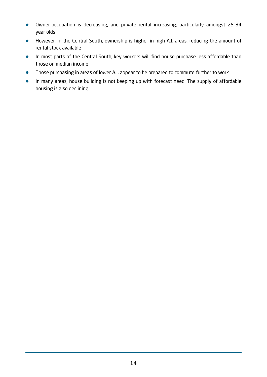- **•** Owner-occupation is decreasing, and private rental increasing, particularly amongst 25–34 year olds
- **•** However, in the Central South, ownership is higher in high A.I. areas, reducing the amount of rental stock available
- **•** In most parts of the Central South, key workers will find house purchase less affordable than those on median income
- **•** Those purchasing in areas of lower A.I. appear to be prepared to commute further to work
- **•** In many areas, house building is not keeping up with forecast need. The supply of affordable housing is also declining.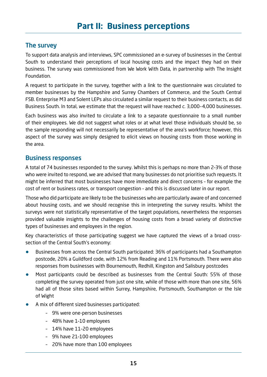## The survey

To support data analysis and interviews, SPC commissioned an e-survey of businesses in the Central South to understand their perceptions of local housing costs and the impact they had on their business. The survey was commissioned from We Work With Data, in partnership with The Insight Foundation.

A request to participate in the survey, together with a link to the questionnaire was circulated to member businesses by the Hampshire and Surrey Chambers of Commerce, and the South Central FSB. Enterprise M3 and Solent LEPs also circulated a similar request to their business contacts, as did Business South. In total, we estimate that the request will have reached c. 3,000–4,000 businesses.

Each business was also invited to circulate a link to a separate questionnaire to a small number of their employees. We did not suggest what roles or at what level those individuals should be, so the sample responding will not necessarily be representative of the area's workforce; however, this aspect of the survey was simply designed to elicit views on housing costs from those working in the area.

#### Business responses

A total of 74 businesses responded to the survey. Whilst this is perhaps no more than 2–3% of those who were invited to respond, we are advised that many businesses do not prioritise such requests. It might be inferred that most businesses have more immediate and direct concerns – for example the cost of rent or business rates, or transport congestion – and this is discussed later in our report.

Those who did participate are likely to be the businesses who are particularly aware of and concerned about housing costs, and we should recognise this in interpreting the survey results. Whilst the surveys were not statistically representative of the target populations, nevertheless the responses provided valuable insights to the challenges of housing costs from a broad variety of distinctive types of businesses and employees in the region.

Key characteristics of those participating suggest we have captured the views of a broad crosssection of the Central South's economy:

- **•** Businesses from across the Central South participated: 36% of participants had a Southampton postcode, 20% a Guildford code, with 12% from Reading and 11% Portsmouth. There were also responses from businesses with Bournemouth, Redhill, Kingston and Salisbury postcodes
- **•** Most participants could be described as businesses from the Central South: 55% of those completing the survey operated from just one site, while of those with more than one site, 56% had all of those sites based within Surrey, Hampshire, Portsmouth, Southampton or the Isle of Wight
- **•** A mix of different sized businesses participated:
	- 9% were one-person businesses
	- 48% have 1–10 employees
	- 14% have 11–20 employees
	- 9% have 21–100 employees
	- 20% have more than 100 employees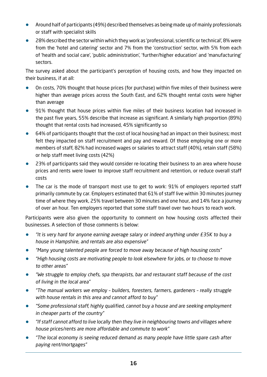- **•** Around half of participants (49%) described themselves as being made up of mainly professionals or staff with specialist skills
- **•** 28% described the sector within which they work as 'professional, scientific or technical', 8% were from the 'hotel and catering' sector and 7% from the 'construction' sector, with 5% from each of 'health and social care', 'public administration', 'further/higher education' and 'manufacturing' sectors.

The survey asked about the participant's perception of housing costs, and how they impacted on their business, if at all:

- **•** On costs, 70% thought that house prices (for purchase) within five miles of their business were higher than average prices across the South East, and 62% thought rental costs were higher than average
- **•** 91% thought that house prices within five miles of their business location had increased in the past five years, 55% describe that increase as significant. A similarly high proportion (89%) thought that rental costs had increased, 45% significantly so
- **•** 64% of participants thought that the cost of local housing had an impact on their business; most felt they impacted on staff recruitment and pay and reward. Of those employing one or more members of staff, 82% had increased wages or salaries to attract staff (40%), retain staff (58%) or help staff meet living costs (42%)
- **•** 23% of participants said they would consider re-locating their business to an area where house prices and rents were lower to improve staff recruitment and retention, or reduce overall staff costs
- **•** The car is the mode of transport most use to get to work: 91% of employers reported staff primarily commute by car. Employers estimated that 61% of staff live within 30 minutes journey time of where they work, 25% travel between 30 minutes and one hour, and 14% face a journey of over an hour. Ten employers reported that some staff travel over two hours to reach work.

Participants were also given the opportunity to comment on how housing costs affected their businesses. A selection of those comments is below:

- **•** "It is very hard for anyone earning average salary or indeed anything under £35K to buy a house in Hampshire, and rentals are also expensive"
- **•** "Many young talented people are forced to move away because of high housing costs"
- **•** "High housing costs are motivating people to look elsewhere for jobs, or to choose to move to other areas"
- **•** "We struggle to employ chefs, spa therapists, bar and restaurant staff because of the cost of living in the local area"
- **•** "The manual workers we employ builders, foresters, farmers, gardeners really struggle with house rentals in this area and cannot afford to buy"
- **•** "Some professional staff, highly qualified, cannot buy a house and are seeking employment in cheaper parts of the country"
- **•** "If staff cannot afford to live locally then they live in neighbouring towns and villages where house prices/rents are more affordable and commute to work"
- **•** "The local economy is seeing reduced demand as many people have little spare cash after paying rent/mortgages"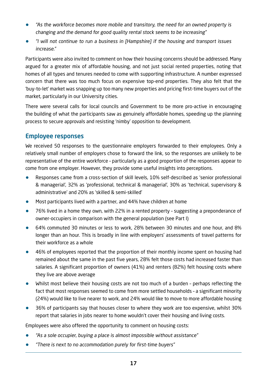- **•** "As the workforce becomes more mobile and transitory, the need for an owned property is changing and the demand for good quality rental stock seems to be increasing"
- **•** "I will not continue to run a business in [Hampshire] if the housing and transport issues increase."

Participants were also invited to comment on how their housing concerns should be addressed. Many argued for a greater mix of affordable housing, and not just social rented properties, noting that homes of all types and tenures needed to come with supporting infrastructure. A number expressed concern that there was too much focus on expensive top-end properties. They also felt that the 'buy-to-let' market was snapping up too many new properties and pricing first-time buyers out of the market, particularly in our University cities.

There were several calls for local councils and Government to be more pro-active in encouraging the building of what the participants saw as genuinely affordable homes, speeding up the planning process to secure approvals and resisting 'nimby' opposition to development.

## Employee responses

We received 50 responses to the questionnaire employers forwarded to their employees. Only a relatively small number of employers chose to forward the link, so the responses are unlikely to be representative of the entire workforce – particularly as a good proportion of the responses appear to come from one employer. However, they provide some useful insights into perceptions.

- **•** Responses came from a cross-section of skill levels, 10% self-described as 'senior professional & managerial', 32% as 'professional, technical & managerial', 30% as 'technical, supervisory & administrative' and 20% as 'skilled & semi-skilled'
- **•** Most participants lived with a partner, and 44% have children at home
- **•** 76% lived in a home they own, with 22% in a rented property suggesting a preponderance of owner-occupiers in comparison with the general population (see Part I)
- **•** 64% commuted 30 minutes or less to work, 28% between 30 minutes and one hour, and 8% longer than an hour. This is broadly in line with employers' assessments of travel patterns for their workforce as a whole
- **•** 46% of employees reported that the proportion of their monthly income spent on housing had remained about the same in the past five years, 28% felt those costs had increased faster than salaries. A significant proportion of owners (41%) and renters (82%) felt housing costs where they live are above average
- **•** Whilst most believe their housing costs are not too much of a burden perhaps reflecting the fact that most responses seemed to come from more settled households – a significant minority (24%) would like to live nearer to work, and 24% would like to move to more affordable housing
- **•** 36% of participants say that houses closer to where they work are too expensive, whilst 30% report that salaries in jobs nearer to home wouldn't cover their housing and living costs.

Employees were also offered the opportunity to comment on housing costs:

- **•** "As a sole occupier, buying a place is almost impossible without assistance"
- **•** "There is next to no accommodation purely for first-time buyers"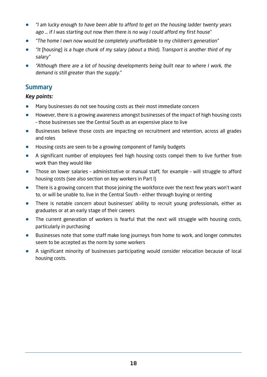- **•** "I am lucky enough to have been able to afford to get on the housing ladder twenty years ago … if I was starting out now then there is no way I could afford my first house"
- **•** "The home I own now would be completely unaffordable to my children's generation"
- **•** "It [housing] is a huge chunk of my salary (about a third). Transport is another third of my salary"
- **•** "Although there are a lot of housing developments being built near to where I work, the demand is still greater than the supply."

## **Summary**

#### Key points:

- **•** Many businesses do not see housing costs as their most immediate concern
- **•** However, there is a growing awareness amongst businesses of the impact of high housing costs – those businesses see the Central South as an expensive place to live
- **•** Businesses believe those costs are impacting on recruitment and retention, across all grades and roles
- **•** Housing costs are seen to be a growing component of family budgets
- **•** A significant number of employees feel high housing costs compel them to live further from work than they would like
- Those on lower salaries administrative or manual staff, for example will struggle to afford housing costs (see also section on key workers in Part I)
- **•** There is a growing concern that those joining the workforce over the next few years won't want to, or will be unable to, live in the Central South – either through buying or renting
- **•** There is notable concern about businesses' ability to recruit young professionals, either as graduates or at an early stage of their careers
- **•** The current generation of workers is fearful that the next will struggle with housing costs, particularly in purchasing
- **•** Businesses note that some staff make long journeys from home to work, and longer commutes seem to be accepted as the norm by some workers
- **•** A significant minority of businesses participating would consider relocation because of local housing costs.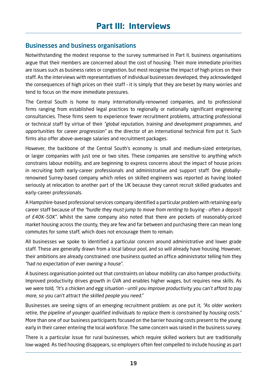## Businesses and business organisations

Notwithstanding the modest response to the survey summarised in Part II, business organisations argue that their members are concerned about the cost of housing. Their more immediate priorities are issues such as business rates or congestion, but most recognise the impact of high prices on their staff. As the interviews with representatives of individual businesses developed, they acknowledged the consequences of high prices on their staff – it is simply that they are beset by many worries and tend to focus on the more immediate pressures.

The Central South is home to many internationally-renowned companies, and to professional firms ranging from established legal practices to regionally or nationally significant engineering consultancies. These firms seem to experience fewer recruitment problems, attracting professional or technical staff by virtue of their "global reputation, training and development programmes, and opportunities for career progression" as the director of an international technical firm put it. Such firms also offer above-average salaries and recruitment packages.

However, the backbone of the Central South's economy is small and medium-sized enterprises, or larger companies with just one or two sites. These companies are sensitive to anything which constrains labour mobility, and are beginning to express concerns about the impact of house prices in recruiting both early-career professionals and administrative and support staff. One globallyrenowned Surrey-based company which relies on skilled engineers was reported as having looked seriously at relocation to another part of the UK because they cannot recruit skilled graduates and early-career professionals.

A Hampshire-based professional services company identified a particular problem with retaining early career staff because of the "hurdle they must jump to move from renting to buying – often a deposit of £40K–50K". Whilst the same company also noted that there are pockets of reasonably-priced market housing across the county, they are few and far between and purchasing there can mean long commutes for some staff, which does not encourage them to remain.

All businesses we spoke to identified a particular concern around administrative and lower grade staff. These are generally drawn from a local labour pool, and so will already have housing. However, their ambitions are already constrained: one business quoted an office administrator telling him they "had no expectation of ever owning a house".

A business organisation pointed out that constraints on labour mobility can also hamper productivity. Improved productivity drives growth in GVA and enables higher wages, but requires new skills. As we were told, "It's a chicken and egg situation – until you improve productivity you can't afford to pay more, so you can't attract the skilled people you need."

Businesses are seeing signs of an emerging recruitment problem: as one put it, "As older workers retire, the pipeline of younger qualified individuals to replace them is constrained by housing costs." More than one of our business participants focused on the barrier housing costs present to the young early in their career entering the local workforce. The same concern was raised in the business survey.

There is a particular issue for rural businesses, which require skilled workers but are traditionally low-waged. As tied housing disappears, so employers often feel compelled to include housing as part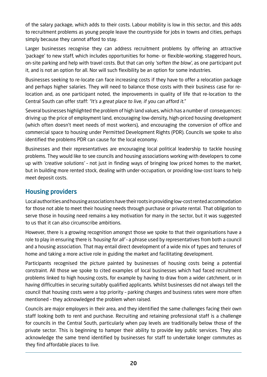of the salary package, which adds to their costs. Labour mobility is low in this sector, and this adds to recruitment problems as young people leave the countryside for jobs in towns and cities, perhaps simply because they cannot afford to stay.

Larger businesses recognise they can address recruitment problems by offering an attractive 'package' to new staff, which includes opportunities for home- or flexible-working, staggered hours, on-site parking and help with travel costs. But that can only 'soften the blow', as one participant put it, and is not an option for all. Nor will such flexibility be an option for some industries.

Businesses seeking to re-locate can face increasing costs if they have to offer a relocation package and perhaps higher salaries. They will need to balance those costs with their business case for relocation and, as one participant noted, the improvements in quality of life that re-location to the Central South can offer staff: "It's a great place to live, if you can afford it."

Several businesses highlighted the problem of high land values, which has a number of consequences: driving up the price of employment land, encouraging low-density, high-priced housing development (which often doesn't meet needs of most workers), and encouraging the conversion of office and commercial space to housing under Permitted Development Rights (PDR). Councils we spoke to also identified the problems PDR can cause for the local economy.

Businesses and their representatives are encouraging local political leadership to tackle housing problems. They would like to see councils and housing associations working with developers to come up with 'creative solutions' – not just in finding ways of bringing low priced homes to the market, but in building more rented stock, dealing with under-occupation, or providing low-cost loans to help meet deposit costs.

# Housing providers

Local authorities and housing associations have their roots in providing low-cost rented accommodation for those not able to meet their housing needs through purchase or private rental. That obligation to serve those in housing need remains a key motivation for many in the sector, but it was suggested to us that it can also circumscribe ambitions.

However, there is a growing recognition amongst those we spoke to that their organisations have a role to play in ensuring there is 'housing for all' – a phrase used by representatives from both a council and a housing association. That may entail direct development of a wide mix of types and tenures of home and taking a more active role in guiding the market and facilitating development.

Participants recognised the picture painted by businesses of housing costs being a potential constraint. All those we spoke to cited examples of local businesses which had faced recruitment problems linked to high housing costs, for example by having to draw from a wider catchment, or in having difficulties in securing suitably qualified applicants. Whilst businesses did not always tell the council that housing costs were a top priority – parking charges and business rates were more often mentioned – they acknowledged the problem when raised.

Councils are major employers in their area, and they identified the same challenges facing their own staff looking both to rent and purchase. Recruiting and retaining professional staff is a challenge for councils in the Central South, particularly when pay levels are traditionally below those of the private sector. This is beginning to hamper their ability to provide key public services. They also acknowledge the same trend identified by businesses for staff to undertake longer commutes as they find affordable places to live.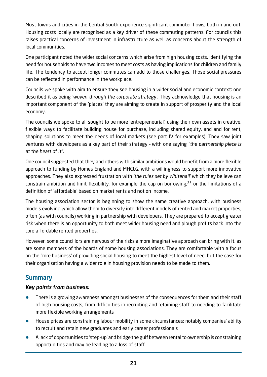Most towns and cities in the Central South experience significant commuter flows, both in and out. Housing costs locally are recognised as a key driver of these commuting patterns. For councils this raises practical concerns of investment in infrastructure as well as concerns about the strength of local communities.

One participant noted the wider social concerns which arise from high housing costs, identifying the need for households to have two incomes to meet costs as having implications for children and family life. The tendency to accept longer commutes can add to those challenges. Those social pressures can be reflected in performance in the workplace.

Councils we spoke with aim to ensure they see housing in a wider social and economic context: one described it as being 'woven through the corporate strategy'. They acknowledge that housing is an important component of the 'places' they are aiming to create in support of prosperity and the local economy.

The councils we spoke to all sought to be more 'entrepreneurial', using their own assets in creative, flexible ways to facilitate building house for purchase, including shared equity, and and for rent, shaping solutions to meet the needs of local markets (see part IV for examples). They saw joint ventures with developers as a key part of their strategy – with one saying "the partnership piece is at the heart of it".

One council suggested that they and others with similar ambitions would benefit from a more flexible approach to funding by Homes England and MHCLG, with a willingness to support more innovative approaches. They also expressed frustration with 'the rules set by Whitehall' which they believe can constrain ambition and limit flexibility, for example the cap on borrowing,<sup>25</sup> or the limitations of a definition of 'affordable' based on market rents and not on income.

The housing association sector is beginning to show the same creative approach, with business models evolving which allow them to diversify into different models of rented and market properties, often (as with councils) working in partnership with developers. They are prepared to accept greater risk when there is an opportunity to both meet wider housing need and plough profits back into the core affordable rented properties.

However, some councillors are nervous of the risks a more imaginative approach can bring with it, as are some members of the boards of some housing associations. They are comfortable with a focus on the 'core business' of providing social housing to meet the highest level of need, but the case for their organisation having a wider role in housing provision needs to be made to them.

# **Summary**

#### Key points from business:

- **•** There is a growing awareness amongst businesses of the consequences for them and their staff of high housing costs, from difficulties in recruiting and retaining staff to needing to facilitate more flexible working arrangements
- House prices are constraining labour mobility in some circumstances: notably companies' ability to recruit and retain new graduates and early career professionals
- **•** A lack of opportunities to 'step-up' and bridge the gulf between rental to ownership is constraining opportunities and may be leading to a loss of staff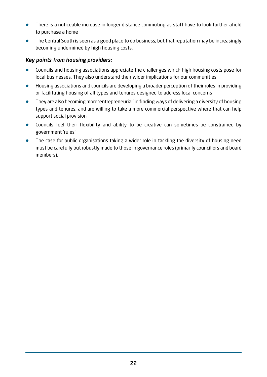- **•** There is a noticeable increase in longer distance commuting as staff have to look further afield to purchase a home
- **•** The Central South is seen as a good place to do business, but that reputation may be increasingly becoming undermined by high housing costs.

#### Key points from housing providers:

- **•** Councils and housing associations appreciate the challenges which high housing costs pose for local businesses. They also understand their wider implications for our communities
- **•** Housing associations and councils are developing a broader perception of their roles in providing or facilitating housing of all types and tenures designed to address local concerns
- **•** They are also becoming more 'entrepreneurial' in finding ways of delivering a diversity of housing types and tenures, and are willing to take a more commercial perspective where that can help support social provision
- **•** Councils feel their flexibility and ability to be creative can sometimes be constrained by government 'rules'
- The case for public organisations taking a wider role in tackling the diversity of housing need must be carefully but robustly made to those in governance roles (primarily councillors and board members).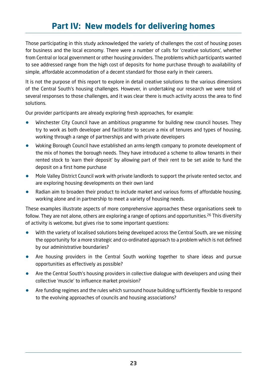# **Part IV: New models for delivering homes**

Those participating in this study acknowledged the variety of challenges the cost of housing poses for business and the local economy. There were a number of calls for 'creative solutions', whether from Central or local government or other housing providers. The problems which participants wanted to see addressed range from the high cost of deposits for home purchase through to availability of simple, affordable accommodation of a decent standard for those early in their careers.

It is not the purpose of this report to explore in detail creative solutions to the various dimensions of the Central South's housing challenges. However, in undertaking our research we were told of several responses to those challenges, and it was clear there is much activity across the area to find solutions.

Our provider participants are already exploring fresh approaches, for example:

- **•** Winchester City Council have an ambitious programme for building new council houses. They try to work as both developer and facilitator to secure a mix of tenures and types of housing, working through a range of partnerships and with private developers
- **•** Woking Borough Council have established an arms-length company to promote development of the mix of homes the borough needs. They have introduced a scheme to allow tenants in their rented stock to 'earn their deposit' by allowing part of their rent to be set aside to fund the deposit on a first home purchase
- **•** Mole Valley District Council work with private landlords to support the private rented sector, and are exploring housing developments on their own land
- **•** Radian aim to broaden their product to include market and various forms of affordable housing, working alone and in partnership to meet a variety of housing needs.

These examples illustrate aspects of more comprehensive approaches these organisations seek to follow. They are not alone, others are exploring a range of options and opportunities.<sup>26</sup> This diversity of activity is welcome, but gives rise to some important questions:

- **•** With the variety of localised solutions being developed across the Central South, are we missing the opportunity for a more strategic and co-ordinated approach to a problem which is not defined by our administrative boundaries?
- **•** Are housing providers in the Central South working together to share ideas and pursue opportunities as effectively as possible?
- **•** Are the Central South's housing providers in collective dialogue with developers and using their collective 'muscle' to influence market provision?
- **•** Are funding regimes and the rules which surround house building sufficiently flexible to respond to the evolving approaches of councils and housing associations?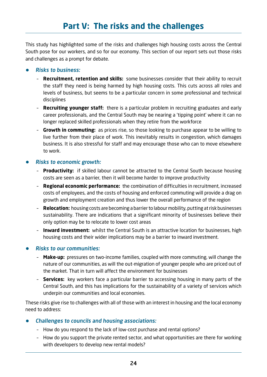This study has highlighted some of the risks and challenges high housing costs across the Central South pose for our workers, and so for our economy. This section of our report sets out those risks and challenges as a prompt for debate.

#### **•** Risks to business:

- **Recruitment, retention and skills:** some businesses consider that their ability to recruit the staff they need is being harmed by high housing costs. This cuts across all roles and levels of business, but seems to be a particular concern in some professional and technical disciplines
- **Recruiting younger staff:** there is a particular problem in recruiting graduates and early career professionals, and the Central South may be nearing a 'tipping point' where it can no longer replaced skilled professionals when they retire from the workforce
- **Growth in commuting:** as prices rise, so those looking to purchase appear to be willing to live further from their place of work. This inevitably results in congestion, which damages business. It is also stressful for staff and may encourage those who can to move elsewhere to work.

#### **•** Risks to economic growth:

- **Productivity:** if skilled labour cannot be attracted to the Central South because housing costs are seen as a barrier, then it will become harder to improve productivity
- **Regional economic performance:** the combination of difficulties in recruitment, increased costs of employees, and the costs of housing and enforced commuting will provide a drag on growth and employment creation and thus lower the overall performance of the region
- **Relocation:** housing costs are becoming a barrier to labour mobility, putting at risk businesses sustainability. There are indications that a significant minority of businesses believe their only option may be to relocate to lower cost areas
- **Inward investment:** whilst the Central South is an attractive location for businesses, high housing costs and their wider implications may be a barrier to inward investment.

#### **•** Risks to our communities:

- **Make-up:** pressures on two-income families, coupled with more commuting, will change the nature of our communities, as will the out-migration of younger people who are priced out of the market. That in turn will affect the environment for businesses
- **Services:** key workers face a particular barrier to accessing housing in many parts of the Central South, and this has implications for the sustainability of a variety of services which underpin our communities and local economies.

These risks give rise to challenges with all of those with an interest in housing and the local economy need to address:

#### **•** Challenges to councils and housing associations:

- How do you respond to the lack of low-cost purchase and rental options?
- How do you support the private rented sector, and what opportunities are there for working with developers to develop new rental models?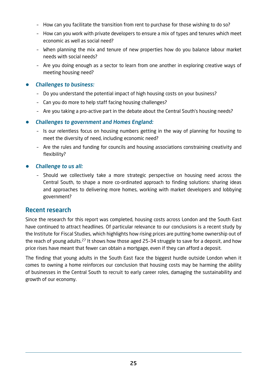- How can you facilitate the transition from rent to purchase for those wishing to do so?
- How can you work with private developers to ensure a mix of types and tenures which meet economic as well as social need?
- When planning the mix and tenure of new properties how do you balance labour market needs with social needs?
- Are you doing enough as a sector to learn from one another in exploring creative ways of meeting housing need?

#### **•** Challenges to business:

- Do you understand the potential impact of high housing costs on your business?
- Can you do more to help staff facing housing challenges?
- Are you taking a pro-active part in the debate about the Central South's housing needs?

#### **•** Challenges to government and Homes England:

- Is our relentless focus on housing numbers getting in the way of planning for housing to meet the diversity of need, including economic need?
- Are the rules and funding for councils and housing associations constraining creativity and flexibility?

#### **•** Challenge to us all:

– Should we collectively take a more strategic perspective on housing need across the Central South, to shape a more co-ordinated approach to finding solutions: sharing ideas and approaches to delivering more homes, working with market developers and lobbying government?

# Recent research

Since the research for this report was completed, housing costs across London and the South East have continued to attract headlines. Of particular relevance to our conclusions is a recent study by the Institute for Fiscal Studies, which highlights how rising prices are putting home ownership out of the reach of young adults.27 It shows how those aged 25–34 struggle to save for a deposit, and how price rises have meant that fewer can obtain a mortgage, even if they can afford a deposit.

The finding that young adults in the South East face the biggest hurdle outside London when it comes to owning a home reinforces our conclusion that housing costs may be harming the ability of businesses in the Central South to recruit to early career roles, damaging the sustainability and growth of our economy.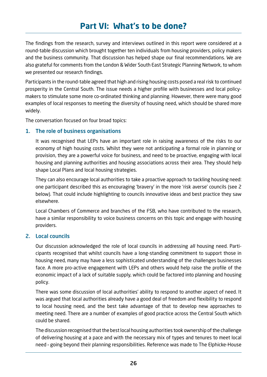# **Part VI: What's to be done?**

The findings from the research, survey and interviews outlined in this report were considered at a round-table discussion which brought together ten individuals from housing providers, policy makers and the business community. That discussion has helped shape our final recommendations. We are also grateful for comments from the London & Wider South East Strategic Planning Network, to whom we presented our research findings.

Participants in the round-table agreed that high and rising housing costs posed a real risk to continued prosperity in the Central South. The issue needs a higher profile with businesses and local policymakers to stimulate some more co-ordinated thinking and planning. However, there were many good examples of local responses to meeting the diversity of housing need, which should be shared more widely.

The conversation focused on four broad topics:

#### 1. The role of business organisations

It was recognised that LEPs have an important role in raising awareness of the risks to our economy of high housing costs. Whilst they were not anticipating a formal role in planning or provision, they are a powerful voice for business, and need to be proactive, engaging with local housing and planning authorities and housing associations across their area. They should help shape Local Plans and local housing strategies.

They can also encourage local authorities to take a proactive approach to tackling housing need: one participant described this as encouraging 'bravery' in the more 'risk averse' councils (see 2 below). That could include highlighting to councils innovative ideas and best practice they saw elsewhere.

Local Chambers of Commerce and branches of the FSB, who have contributed to the research, have a similar responsibility to voice business concerns on this topic and engage with housing providers.

#### 2. Local councils

Our discussion acknowledged the role of local councils in addressing all housing need. Participants recognised that whilst councils have a long-standing commitment to support those in housing need, many may have a less sophisticated understanding of the challenges businesses face. A more pro-active engagement with LEPs and others would help raise the profile of the economic impact of a lack of suitable supply, which could be factored into planning and housing policy.

There was some discussion of local authorities' ability to respond to another aspect of need. It was argued that local authorities already have a good deal of freedom and flexibility to respond to local housing need, and the best take advantage of that to develop new approaches to meeting need. There are a number of examples of good practice across the Central South which could be shared.

The discussion recognised that the best local housing authorities took ownership of the challenge of delivering housing at a pace and with the necessary mix of types and tenures to meet local need – going beyond their planning responsibilities. Reference was made to The Elphicke-House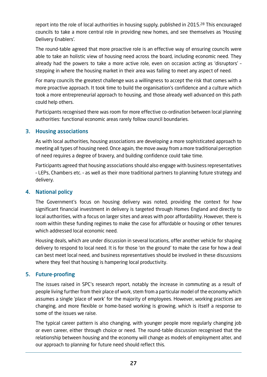report into the role of local authorities in housing supply, published in 2015.<sup>28</sup> This encouraged councils to take a more central role in providing new homes, and see themselves as 'Housing Delivery Enablers'.

The round-table agreed that more proactive role is an effective way of ensuring councils were able to take an holistic view of housing need across the board, including economic need. They already had the powers to take a more active role, even on occasion acting as 'disruptors' – stepping in where the housing market in their area was failing to meet any aspect of need.

For many councils the greatest challenge was a willingness to accept the risk that comes with a more proactive approach. It took time to build the organisation's confidence and a culture which took a more entrepreneurial approach to housing, and those already well advanced on this path could help others.

Participants recognised there was room for more effective co-ordination between local planning authorities: functional economic areas rarely follow council boundaries.

#### 3. Housing associations

As with local authorities, housing associations are developing a more sophisticated approach to meeting all types of housing need. Once again, the move away from a more traditional perception of need requires a degree of bravery, and building confidence could take time.

Participants agreed that housing associations should also engage with business representatives – LEPs, Chambers etc. – as well as their more traditional partners to planning future strategy and delivery.

#### 4. National policy

The Government's focus on housing delivery was noted, providing the context for how significant financial investment in delivery is targeted through Homes England and directly to local authorities, with a focus on larger sites and areas with poor affordability. However, there is room within these funding regimes to make the case for affordable or housing or other tenures which addressed local economic need.

Housing deals, which are under discussion in several locations, offer another vehicle for shaping delivery to respond to local need. It is for those 'on the ground' to make the case for how a deal can best meet local need, and business representatives should be involved in these discussions where they feel that housing is hampering local productivity.

#### 5. Future-proofing

The issues raised in SPC's research report, notably the increase in commuting as a result of people living further from their place of work, stem from a particular model of the economy which assumes a single 'place of work' for the majority of employees. However, working practices are changing, and more flexible or home-based working is growing, which is itself a response to some of the issues we raise.

The typical career pattern is also changing, with younger people more regularly changing job or even career, either through choice or need. The round-table discussion recognised that the relationship between housing and the economy will change as models of employment alter, and our approach to planning for future need should reflect this.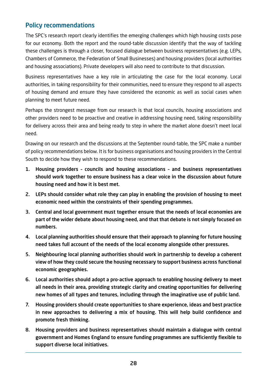# Policy recommendations

The SPC's research report clearly identifies the emerging challenges which high housing costs pose for our economy. Both the report and the round-table discussion identify that the way of tackling these challenges is through a closer, focused dialogue between business representatives (e.g. LEPs, Chambers of Commerce, the Federation of Small Businesses) and housing providers (local authorities and housing associations). Private developers will also need to contribute to that discussion.

Business representatives have a key role in articulating the case for the local economy. Local authorities, in taking responsibility for their communities, need to ensure they respond to all aspects of housing demand and ensure they have considered the economic as well as social cases when planning to meet future need.

Perhaps the strongest message from our research is that local councils, housing associations and other providers need to be proactive and creative in addressing housing need, taking responsibility for delivery across their area and being ready to step in where the market alone doesn't meet local need.

Drawing on our research and the discussions at the September round-table, the SPC make a number of policy recommendations below. It is for business organisations and housing providers in the Central South to decide how they wish to respond to these recommendations.

- 1. Housing providers councils and housing associations and business representatives should work together to ensure business has a clear voice in the discussion about future housing need and how it is best met.
- 2. LEPs should consider what role they can play in enabling the provision of housing to meet economic need within the constraints of their spending programmes.
- 3. Central and local government must together ensure that the needs of local economies are part of the wider debate about housing need, and that that debate is not simply focused on numbers.
- 4. Local planning authorities should ensure that their approach to planning for future housing need takes full account of the needs of the local economy alongside other pressures.
- 5. Neighbouring local planning authorities should work in partnership to develop a coherent view of how they could secure the housing necessary to support business across functional economic geographies.
- 6. Local authorities should adopt a pro-active approach to enabling housing delivery to meet all needs in their area, providing strategic clarity and creating opportunities for delivering new homes of all types and tenures, including through the imaginative use of public land.
- 7. Housing providers should create opportunities to share experience, ideas and best practice in new approaches to delivering a mix of housing. This will help build confidence and promote fresh thinking.
- 8. Housing providers and business representatives should maintain a dialogue with central government and Homes England to ensure funding programmes are sufficiently flexible to support diverse local initiatives.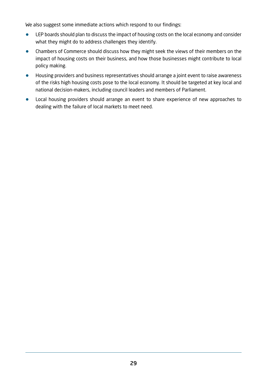We also suggest some immediate actions which respond to our findings:

- **•** LEP boards should plan to discuss the impact of housing costs on the local economy and consider what they might do to address challenges they identify.
- **•** Chambers of Commerce should discuss how they might seek the views of their members on the impact of housing costs on their business, and how those businesses might contribute to local policy making.
- **•** Housing providers and business representatives should arrange a joint event to raise awareness of the risks high housing costs pose to the local economy. It should be targeted at key local and national decision-makers, including council leaders and members of Parliament.
- **•** Local housing providers should arrange an event to share experience of new approaches to dealing with the failure of local markets to meet need.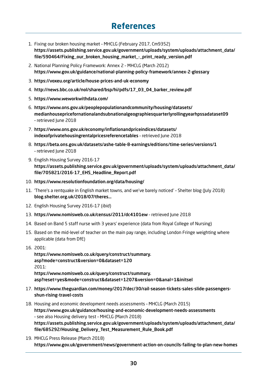# **References**

- 1. Fixing our broken housing market MHCLG (February 2017, Cm9352) https://assets.publishing.service.gov.uk/government/uploads/system/uploads/attachment\_data/ file/590464/Fixing\_our\_broken\_housing\_market\_-\_print\_ready\_version.pdf
- 2. National Planning Policy Framework: Annex 2 MHCLG (March 2012) https://www.gov.uk/guidance/national-planning-policy-framework/annex-2-glossary
- 3. https://voxeu.org/article/house-prices-and-uk-economy
- 4. http://news.bbc.co.uk/nol/shared/bsp/hi/pdfs/17\_03\_04\_barker\_review.pdf
- 5. https://www.weworkwithdata.com/
- 6. https://www.ons.gov.uk/peoplepopulationandcommunity/housing/datasets/ medianhousepricefornationalandsubnationalgeographiesquarterlyrollingyearhpssadataset09 – retrieved June 2018
- 7. https://www.ons.gov.uk/economy/inflationandpriceindices/datasets/ indexofprivatehousingrentalpricesreferencetables – retrieved June 2018
- 8. https://beta.ons.gov.uk/datasets/ashe-table-8-earnings/editions/time-series/versions/1 – retrieved June 2018
- 9. English Housing Survey 2016-17 https://assets.publishing.service.gov.uk/government/uploads/system/uploads/attachment\_data/ file/705821/2016-17\_EHS\_Headline\_Report.pdf
- 10. https://www.resolutionfoundation.org/data/housing/
- 11. 'There's a rentquake in English market towns, and we've barely noticed' Shelter blog (July 2018) blog.shelter.org.uk/2018/07/theres…
- 12. English Housing Survey 2016–17 (ibid)
- 13. https://www.nomisweb.co.uk/census/2011/dc4101ew retrieved June 2018
- 14. Based on Band 5 staff nurse with 3 years' experience (data from Royal College of Nursing)
- 15. Based on the mid-level of teacher on the main pay range, including London Fringe weighting where applicable (data from DfE)
- 16. 2001:

https://www.nomisweb.co.uk/query/construct/summary. asp?mode=construct&version=0&dataset=120 2011: https://www.nomisweb.co.uk/query/construct/summary. asp?reset=yes&mode=construct&dataset=1207&version=0&anal=1&initsel

- 17. https://www.theguardian.com/money/2017/dec/30/rail-season-tickets-sales-slide-passengersshun-rising-travel-costs
- 18. Housing and economic development needs assessments MHCLG (March 2015) https://www.gov.uk/guidance/housing-and-economic-development-needs-assessments – see also Housing delivery test – MHCLG (March 2018) https://assets.publishing.service.gov.uk/government/uploads/system/uploads/attachment\_data/ file/685292/Housing\_Delivery\_Test\_Measurement\_Rule\_Book.pdf
- 19. MHCLG Press Release (March 2018) https://www.gov.uk/government/news/government-action-on-councils-failing-to-plan-new-homes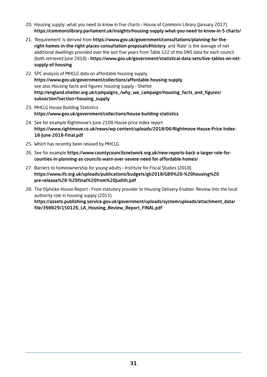- 20. Housing supply: what you need to know in five charts House of Commons Library (January 2017) https://commonslibrary.parliament.uk/insights/housing-supply-what-you-need-to-know-in-5-charts/
- 21. 'Requirement' is derived from https://www.gov.uk/government/consultations/planning-for-theright-homes-in-the-right-places-consultation-proposals#history and 'Rate' is the average of net additional dwellings provided over the last five years from Table 122 of the ONS data for each council (both retrieved June 2018) – https://www.gov.uk/government/statistical-data-sets/live-tables-on-netsupply-of-housing
- 22. SPC analysis of MHCLG data on affordable housing supply https://www.gov.uk/government/collections/affordable-housing-supply, see also Housing facts and figures: housing supply – Shelter http://england.shelter.org.uk/campaigns\_/why\_we\_campaign/housing\_facts\_and\_figures/ subsection?section=housing\_supply
- 23. MHCLG House Building Statistics https://www.gov.uk/government/collections/house-building-statistics
- 24. See for example Rightmove's June 2108 House price index report https://www.rightmove.co.uk/news/wp-content/uploads/2018/06/Rightmove-House-Price-Index-18-June-2018-Final.pdf
- 25. Which has recently been relaxed by MHCLG
- 26. See for example https://www.countycouncilsnetwork.org.uk/new-reports-back-a-larger-role-forcounties-in-planning-as-councils-warn-over-severe-need-for-affordable-homes/
- 27. Barriers to homeownership for young adults Institute for Fiscal Studies (2018) https://www.ifs.org.uk/uploads/publications/budgets/gb2018/GB9%20-%20housing%20 pre-release%20-%20final%20from%20Judith.pdf
- 28. The Elphicke-House Report From statutory provider to Housing Delivery Enabler: Review into the local authority role in housing supply (2015)

https://assets.publishing.service.gov.uk/government/uploads/system/uploads/attachment\_data/ file/398829/150126\_LA\_Housing\_Review\_Report\_FINAL.pdf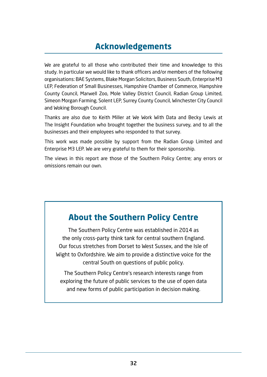# **Acknowledgements**

We are grateful to all those who contributed their time and knowledge to this study. In particular we would like to thank officers and/or members of the following organisations: BAE Systems, Blake Morgan Solicitors, Business South, Enterprise M3 LEP, Federation of Small Businesses, Hampshire Chamber of Commerce, Hampshire County Council, Marwell Zoo, Mole Valley District Council, Radian Group Limited, Simeon Morgan Farming, Solent LEP, Surrey County Council, Winchester City Council and Woking Borough Council.

Thanks are also due to Keith Miller at We Work With Data and Becky Lewis at The Insight Foundation who brought together the business survey, and to all the businesses and their employees who responded to that survey.

This work was made possible by support from the Radian Group Limited and Enterprise M3 LEP. We are very grateful to them for their sponsorship.

The views in this report are those of the Southern Policy Centre; any errors or omissions remain our own.

# **About the Southern Policy Centre**

The Southern Policy Centre was established in 2014 as the only cross-party think tank for central southern England. Our focus stretches from Dorset to West Sussex, and the Isle of Wight to Oxfordshire. We aim to provide a distinctive voice for the central South on questions of public policy.

The Southern Policy Centre's research interests range from exploring the future of public services to the use of open data and new forms of public participation in decision making.